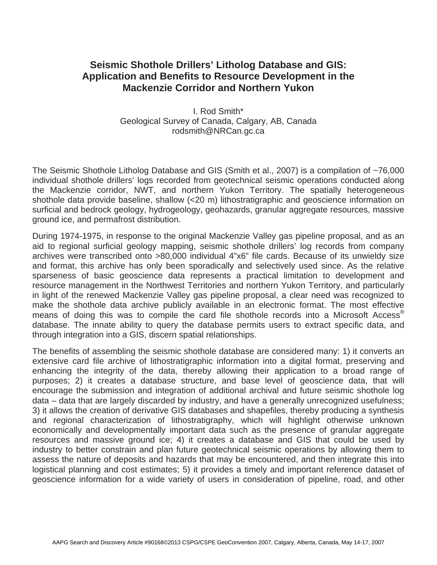# **Seismic Shothole Drillers' Litholog Database and GIS: Application and Benefits to Resource Development in the Mackenzie Corridor and Northern Yukon**

I. Rod Smith\* Geological Survey of Canada, Calgary, AB, Canada rodsmith@NRCan.gc.ca

The Seismic Shothole Litholog Database and GIS (Smith et al., 2007) is a compilation of ~76,000 individual shothole drillers' logs recorded from geotechnical seismic operations conducted along the Mackenzie corridor, NWT, and northern Yukon Territory. The spatially heterogeneous shothole data provide baseline, shallow (<20 m) lithostratigraphic and geoscience information on surficial and bedrock geology, hydrogeology, geohazards, granular aggregate resources, massive ground ice, and permafrost distribution.

During 1974-1975, in response to the original Mackenzie Valley gas pipeline proposal, and as an aid to regional surficial geology mapping, seismic shothole drillers' log records from company archives were transcribed onto >80,000 individual 4"x6" file cards. Because of its unwieldy size and format, this archive has only been sporadically and selectively used since. As the relative sparseness of basic geoscience data represents a practical limitation to development and resource management in the Northwest Territories and northern Yukon Territory, and particularly in light of the renewed Mackenzie Valley gas pipeline proposal, a clear need was recognized to make the shothole data archive publicly available in an electronic format. The most effective means of doing this was to compile the card file shothole records into a Microsoft Access® database. The innate ability to query the database permits users to extract specific data, and through integration into a GIS, discern spatial relationships.

The benefits of assembling the seismic shothole database are considered many: 1) it converts an extensive card file archive of lithostratigraphic information into a digital format, preserving and enhancing the integrity of the data, thereby allowing their application to a broad range of purposes; 2) it creates a database structure, and base level of geoscience data, that will encourage the submission and integration of additional archival and future seismic shothole log data – data that are largely discarded by industry, and have a generally unrecognized usefulness; 3) it allows the creation of derivative GIS databases and shapefiles, thereby producing a synthesis and regional characterization of lithostratigraphy, which will highlight otherwise unknown economically and developmentally important data such as the presence of granular aggregate resources and massive ground ice; 4) it creates a database and GIS that could be used by industry to better constrain and plan future geotechnical seismic operations by allowing them to assess the nature of deposits and hazards that may be encountered, and then integrate this into logistical planning and cost estimates; 5) it provides a timely and important reference dataset of geoscience information for a wide variety of users in consideration of pipeline, road, and other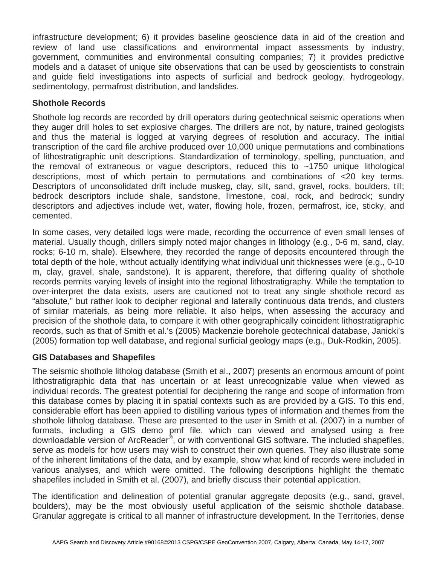infrastructure development; 6) it provides baseline geoscience data in aid of the creation and review of land use classifications and environmental impact assessments by industry, government, communities and environmental consulting companies; 7) it provides predictive models and a dataset of unique site observations that can be used by geoscientists to constrain and guide field investigations into aspects of surficial and bedrock geology, hydrogeology, sedimentology, permafrost distribution, and landslides.

## **Shothole Records**

Shothole log records are recorded by drill operators during geotechnical seismic operations when they auger drill holes to set explosive charges. The drillers are not, by nature, trained geologists and thus the material is logged at varying degrees of resolution and accuracy. The initial transcription of the card file archive produced over 10,000 unique permutations and combinations of lithostratigraphic unit descriptions. Standardization of terminology, spelling, punctuation, and the removal of extraneous or vague descriptors, reduced this to  $\sim$ 1750 unique lithological descriptions, most of which pertain to permutations and combinations of <20 key terms. Descriptors of unconsolidated drift include muskeg, clay, silt, sand, gravel, rocks, boulders, till; bedrock descriptors include shale, sandstone, limestone, coal, rock, and bedrock; sundry descriptors and adjectives include wet, water, flowing hole, frozen, permafrost, ice, sticky, and cemented.

In some cases, very detailed logs were made, recording the occurrence of even small lenses of material. Usually though, drillers simply noted major changes in lithology (e.g., 0-6 m, sand, clay, rocks; 6-10 m, shale). Elsewhere, they recorded the range of deposits encountered through the total depth of the hole, without actually identifying what individual unit thicknesses were (e.g., 0-10 m, clay, gravel, shale, sandstone). It is apparent, therefore, that differing quality of shothole records permits varying levels of insight into the regional lithostratigraphy. While the temptation to over-interpret the data exists, users are cautioned not to treat any single shothole record as "absolute," but rather look to decipher regional and laterally continuous data trends, and clusters of similar materials, as being more reliable. It also helps, when assessing the accuracy and precision of the shothole data, to compare it with other geographically coincident lithostratigraphic records, such as that of Smith et al.'s (2005) Mackenzie borehole geotechnical database, Janicki's (2005) formation top well database, and regional surficial geology maps (e.g., Duk-Rodkin, 2005).

## **GIS Databases and Shapefiles**

The seismic shothole litholog database (Smith et al., 2007) presents an enormous amount of point lithostratigraphic data that has uncertain or at least unrecognizable value when viewed as individual records. The greatest potential for deciphering the range and scope of information from this database comes by placing it in spatial contexts such as are provided by a GIS. To this end, considerable effort has been applied to distilling various types of information and themes from the shothole litholog database. These are presented to the user in Smith et al. (2007) in a number of formats, including a GIS demo pmf file, which can viewed and analysed using a free downloadable version of ArcReader®, or with conventional GIS software. The included shapefiles, serve as models for how users may wish to construct their own queries. They also illustrate some of the inherent limitations of the data, and by example, show what kind of records were included in various analyses, and which were omitted. The following descriptions highlight the thematic shapefiles included in Smith et al. (2007), and briefly discuss their potential application.

The identification and delineation of potential granular aggregate deposits (e.g., sand, gravel, boulders), may be the most obviously useful application of the seismic shothole database. Granular aggregate is critical to all manner of infrastructure development. In the Territories, dense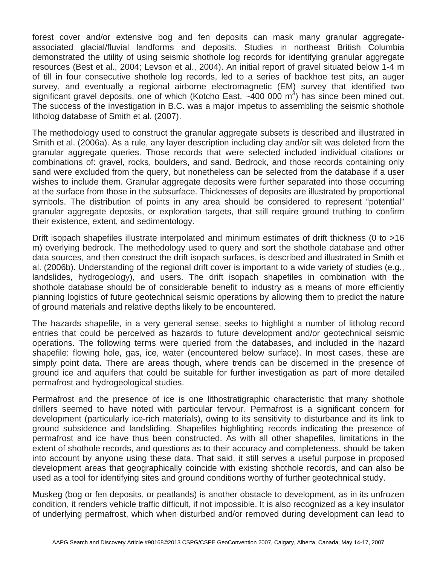forest cover and/or extensive bog and fen deposits can mask many granular aggregateassociated glacial/fluvial landforms and deposits. Studies in northeast British Columbia demonstrated the utility of using seismic shothole log records for identifying granular aggregate resources (Best et al., 2004; Levson et al., 2004). An initial report of gravel situated below 1-4 m of till in four consecutive shothole log records, led to a series of backhoe test pits, an auger survey, and eventually a regional airborne electromagnetic (EM) survey that identified two significant gravel deposits, one of which (Kotcho East,  $~10000 \, \text{m}^3$ ) has since been mined out. The success of the investigation in B.C. was a major impetus to assembling the seismic shothole litholog database of Smith et al. (2007).

The methodology used to construct the granular aggregate subsets is described and illustrated in Smith et al. (2006a). As a rule, any layer description including clay and/or silt was deleted from the granular aggregate queries. Those records that were selected included individual citations or combinations of: gravel, rocks, boulders, and sand. Bedrock, and those records containing only sand were excluded from the query, but nonetheless can be selected from the database if a user wishes to include them. Granular aggregate deposits were further separated into those occurring at the surface from those in the subsurface. Thicknesses of deposits are illustrated by proportional symbols. The distribution of points in any area should be considered to represent "potential" granular aggregate deposits, or exploration targets, that still require ground truthing to confirm their existence, extent, and sedimentology.

Drift isopach shapefiles illustrate interpolated and minimum estimates of drift thickness (0 to >16 m) overlying bedrock. The methodology used to query and sort the shothole database and other data sources, and then construct the drift isopach surfaces, is described and illustrated in Smith et al. (2006b). Understanding of the regional drift cover is important to a wide variety of studies (e.g., landslides, hydrogeology), and users. The drift isopach shapefiles in combination with the shothole database should be of considerable benefit to industry as a means of more efficiently planning logistics of future geotechnical seismic operations by allowing them to predict the nature of ground materials and relative depths likely to be encountered.

The hazards shapefile, in a very general sense, seeks to highlight a number of litholog record entries that could be perceived as hazards to future development and/or geotechnical seismic operations. The following terms were queried from the databases, and included in the hazard shapefile: flowing hole, gas, ice, water (encountered below surface). In most cases, these are simply point data. There are areas though, where trends can be discerned in the presence of ground ice and aquifers that could be suitable for further investigation as part of more detailed permafrost and hydrogeological studies.

Permafrost and the presence of ice is one lithostratigraphic characteristic that many shothole drillers seemed to have noted with particular fervour. Permafrost is a significant concern for development (particularly ice-rich materials), owing to its sensitivity to disturbance and its link to ground subsidence and landsliding. Shapefiles highlighting records indicating the presence of permafrost and ice have thus been constructed. As with all other shapefiles, limitations in the extent of shothole records, and questions as to their accuracy and completeness, should be taken into account by anyone using these data. That said, it still serves a useful purpose in proposed development areas that geographically coincide with existing shothole records, and can also be used as a tool for identifying sites and ground conditions worthy of further geotechnical study.

Muskeg (bog or fen deposits, or peatlands) is another obstacle to development, as in its unfrozen condition, it renders vehicle traffic difficult, if not impossible. It is also recognized as a key insulator of underlying permafrost, which when disturbed and/or removed during development can lead to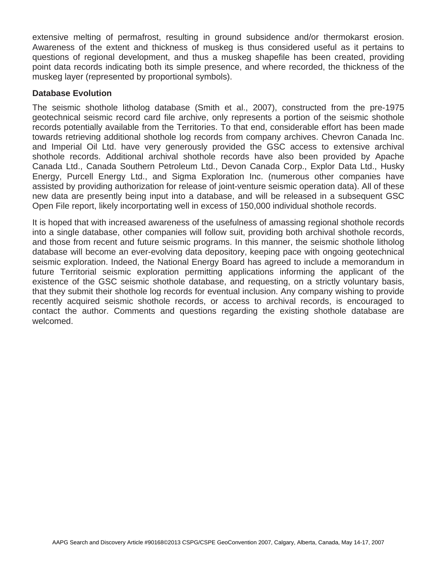extensive melting of permafrost, resulting in ground subsidence and/or thermokarst erosion. Awareness of the extent and thickness of muskeg is thus considered useful as it pertains to questions of regional development, and thus a muskeg shapefile has been created, providing point data records indicating both its simple presence, and where recorded, the thickness of the muskeg layer (represented by proportional symbols).

### **Database Evolution**

The seismic shothole litholog database (Smith et al., 2007), constructed from the pre-1975 geotechnical seismic record card file archive, only represents a portion of the seismic shothole records potentially available from the Territories. To that end, considerable effort has been made towards retrieving additional shothole log records from company archives. Chevron Canada Inc. and Imperial Oil Ltd. have very generously provided the GSC access to extensive archival shothole records. Additional archival shothole records have also been provided by Apache Canada Ltd., Canada Southern Petroleum Ltd., Devon Canada Corp., Explor Data Ltd., Husky Energy, Purcell Energy Ltd., and Sigma Exploration Inc. (numerous other companies have assisted by providing authorization for release of joint-venture seismic operation data). All of these new data are presently being input into a database, and will be released in a subsequent GSC Open File report, likely incorportating well in excess of 150,000 individual shothole records.

It is hoped that with increased awareness of the usefulness of amassing regional shothole records into a single database, other companies will follow suit, providing both archival shothole records, and those from recent and future seismic programs. In this manner, the seismic shothole litholog database will become an ever-evolving data depository, keeping pace with ongoing geotechnical seismic exploration. Indeed, the National Energy Board has agreed to include a memorandum in future Territorial seismic exploration permitting applications informing the applicant of the existence of the GSC seismic shothole database, and requesting, on a strictly voluntary basis, that they submit their shothole log records for eventual inclusion. Any company wishing to provide recently acquired seismic shothole records, or access to archival records, is encouraged to contact the author. Comments and questions regarding the existing shothole database are welcomed.